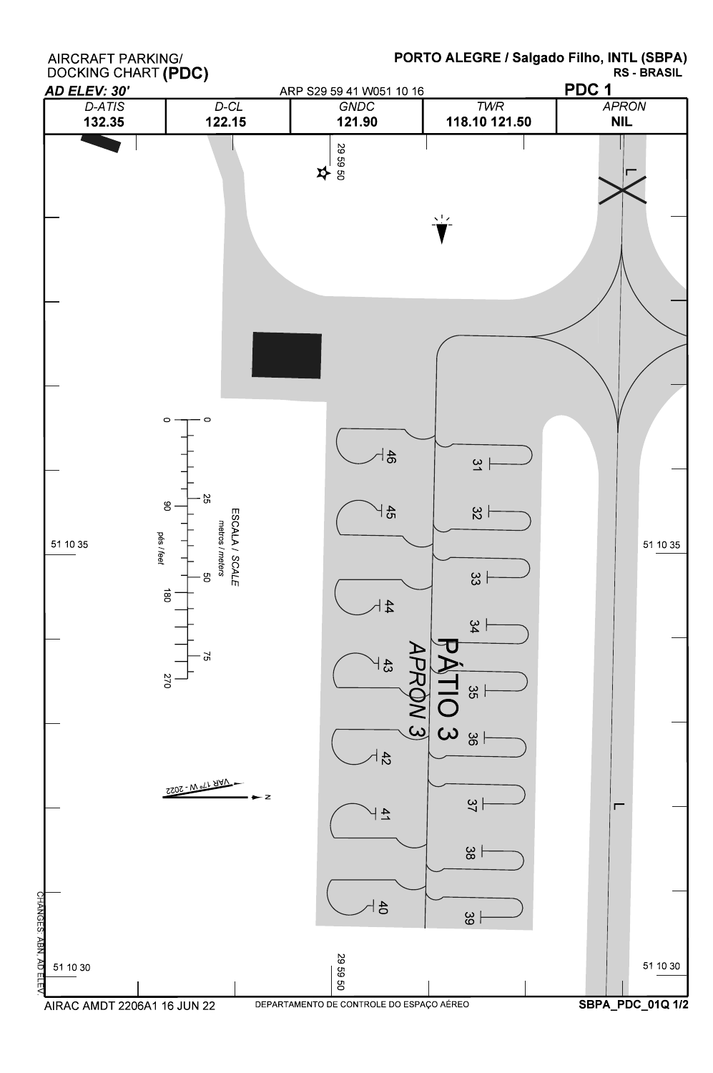